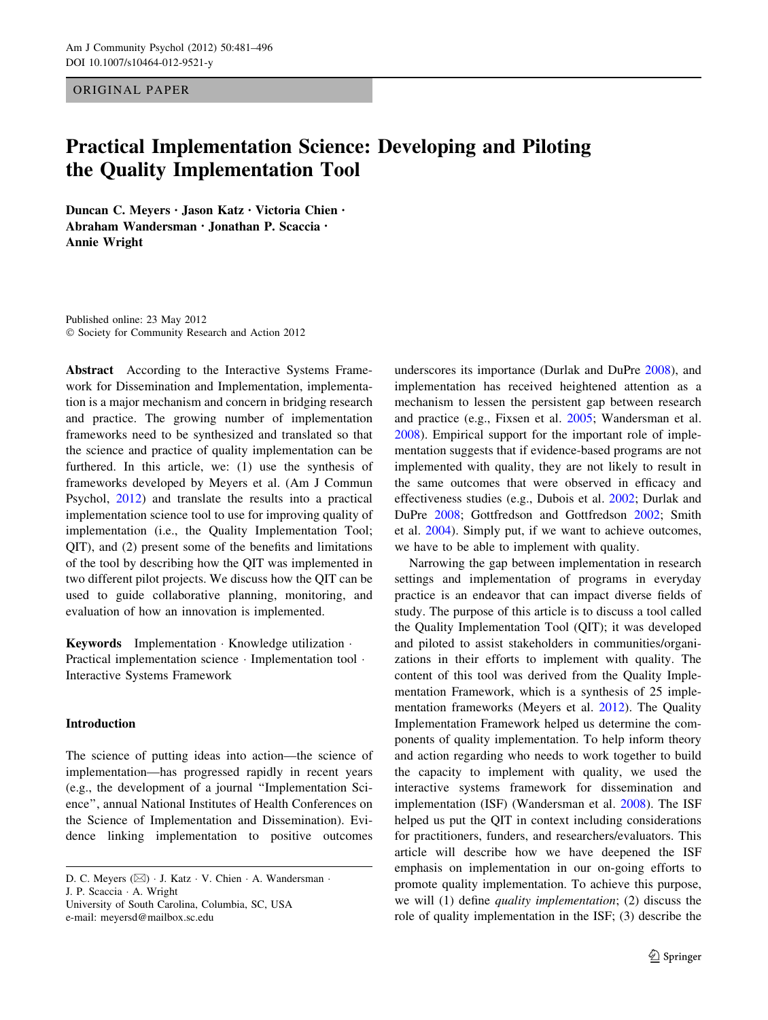ORIGINAL PAPER

# Practical Implementation Science: Developing and Piloting the Quality Implementation Tool

Duncan C. Meyers • Jason Katz • Victoria Chien • Abraham Wandersman • Jonathan P. Scaccia • Annie Wright

Published online: 23 May 2012 - Society for Community Research and Action 2012

Abstract According to the Interactive Systems Framework for Dissemination and Implementation, implementation is a major mechanism and concern in bridging research and practice. The growing number of implementation frameworks need to be synthesized and translated so that the science and practice of quality implementation can be furthered. In this article, we: (1) use the synthesis of frameworks developed by Meyers et al. (Am J Commun Psychol, [2012\)](#page-14-0) and translate the results into a practical implementation science tool to use for improving quality of implementation (i.e., the Quality Implementation Tool; QIT), and (2) present some of the benefits and limitations of the tool by describing how the QIT was implemented in two different pilot projects. We discuss how the QIT can be used to guide collaborative planning, monitoring, and evaluation of how an innovation is implemented.

Keywords Implementation · Knowledge utilization · Practical implementation science · Implementation tool · Interactive Systems Framework

#### Introduction

The science of putting ideas into action—the science of implementation—has progressed rapidly in recent years (e.g., the development of a journal ''Implementation Science'', annual National Institutes of Health Conferences on the Science of Implementation and Dissemination). Evidence linking implementation to positive outcomes

University of South Carolina, Columbia, SC, USA e-mail: meyersd@mailbox.sc.edu

underscores its importance (Durlak and DuPre [2008](#page-13-0)), and implementation has received heightened attention as a mechanism to lessen the persistent gap between research and practice (e.g., Fixsen et al. [2005;](#page-14-0) Wandersman et al. [2008](#page-15-0)). Empirical support for the important role of implementation suggests that if evidence-based programs are not implemented with quality, they are not likely to result in the same outcomes that were observed in efficacy and effectiveness studies (e.g., Dubois et al. [2002](#page-13-0); Durlak and DuPre [2008](#page-13-0); Gottfredson and Gottfredson [2002;](#page-14-0) Smith et al. [2004](#page-14-0)). Simply put, if we want to achieve outcomes, we have to be able to implement with quality.

Narrowing the gap between implementation in research settings and implementation of programs in everyday practice is an endeavor that can impact diverse fields of study. The purpose of this article is to discuss a tool called the Quality Implementation Tool (QIT); it was developed and piloted to assist stakeholders in communities/organizations in their efforts to implement with quality. The content of this tool was derived from the Quality Implementation Framework, which is a synthesis of 25 implementation frameworks (Meyers et al. [2012\)](#page-14-0). The Quality Implementation Framework helped us determine the components of quality implementation. To help inform theory and action regarding who needs to work together to build the capacity to implement with quality, we used the interactive systems framework for dissemination and implementation (ISF) (Wandersman et al. [2008](#page-15-0)). The ISF helped us put the QIT in context including considerations for practitioners, funders, and researchers/evaluators. This article will describe how we have deepened the ISF emphasis on implementation in our on-going efforts to promote quality implementation. To achieve this purpose, we will (1) define quality implementation; (2) discuss the role of quality implementation in the ISF; (3) describe the

D. C. Meyers (⊠) · J. Katz · V. Chien · A. Wandersman · J. P. Scaccia - A. Wright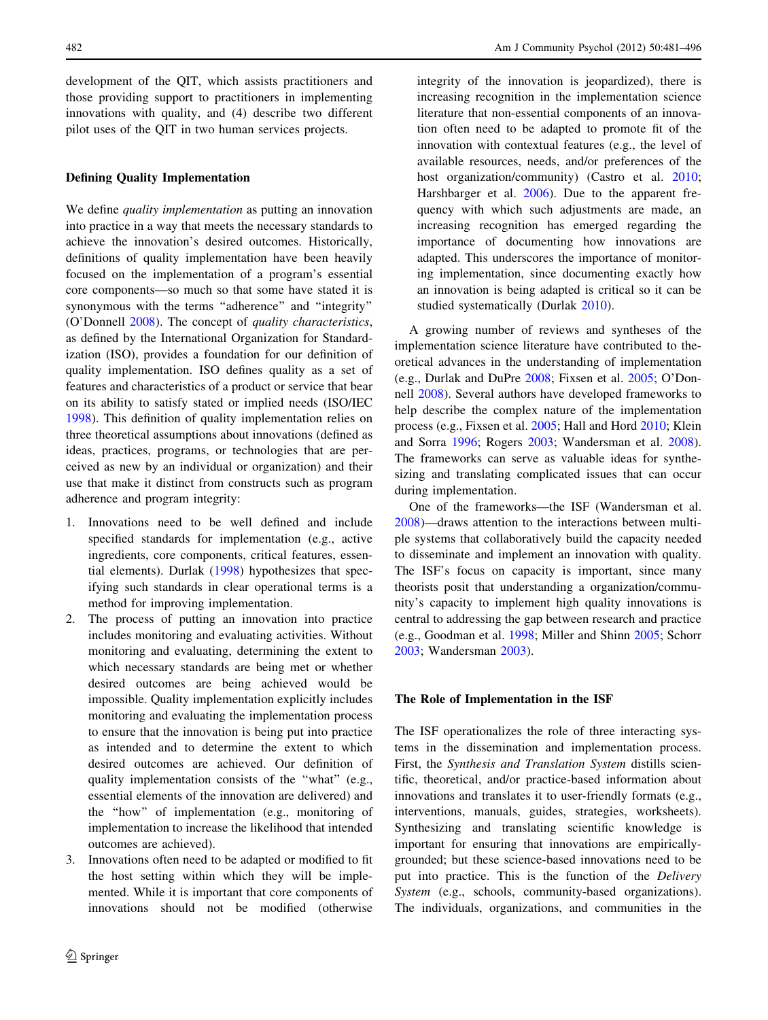development of the QIT, which assists practitioners and those providing support to practitioners in implementing innovations with quality, and (4) describe two different pilot uses of the QIT in two human services projects.

#### Defining Quality Implementation

We define *quality implementation* as putting an innovation into practice in a way that meets the necessary standards to achieve the innovation's desired outcomes. Historically, definitions of quality implementation have been heavily focused on the implementation of a program's essential core components—so much so that some have stated it is synonymous with the terms ''adherence'' and ''integrity'' (O'Donnell [2008\)](#page-14-0). The concept of quality characteristics, as defined by the International Organization for Standardization (ISO), provides a foundation for our definition of quality implementation. ISO defines quality as a set of features and characteristics of a product or service that bear on its ability to satisfy stated or implied needs (ISO/IEC [1998\)](#page-14-0). This definition of quality implementation relies on three theoretical assumptions about innovations (defined as ideas, practices, programs, or technologies that are perceived as new by an individual or organization) and their use that make it distinct from constructs such as program adherence and program integrity:

- 1. Innovations need to be well defined and include specified standards for implementation (e.g., active ingredients, core components, critical features, essential elements). Durlak ([1998\)](#page-13-0) hypothesizes that specifying such standards in clear operational terms is a method for improving implementation.
- 2. The process of putting an innovation into practice includes monitoring and evaluating activities. Without monitoring and evaluating, determining the extent to which necessary standards are being met or whether desired outcomes are being achieved would be impossible. Quality implementation explicitly includes monitoring and evaluating the implementation process to ensure that the innovation is being put into practice as intended and to determine the extent to which desired outcomes are achieved. Our definition of quality implementation consists of the "what" (e.g., essential elements of the innovation are delivered) and the ''how'' of implementation (e.g., monitoring of implementation to increase the likelihood that intended outcomes are achieved).
- 3. Innovations often need to be adapted or modified to fit the host setting within which they will be implemented. While it is important that core components of innovations should not be modified (otherwise

integrity of the innovation is jeopardized), there is increasing recognition in the implementation science literature that non-essential components of an innovation often need to be adapted to promote fit of the innovation with contextual features (e.g., the level of available resources, needs, and/or preferences of the host organization/community) (Castro et al. [2010](#page-13-0); Harshbarger et al. [2006](#page-14-0)). Due to the apparent frequency with which such adjustments are made, an increasing recognition has emerged regarding the importance of documenting how innovations are adapted. This underscores the importance of monitoring implementation, since documenting exactly how an innovation is being adapted is critical so it can be studied systematically (Durlak [2010\)](#page-13-0).

A growing number of reviews and syntheses of the implementation science literature have contributed to theoretical advances in the understanding of implementation (e.g., Durlak and DuPre [2008](#page-13-0); Fixsen et al. [2005](#page-14-0); O'Donnell [2008](#page-14-0)). Several authors have developed frameworks to help describe the complex nature of the implementation process (e.g., Fixsen et al. [2005](#page-14-0); Hall and Hord [2010;](#page-14-0) Klein and Sorra [1996](#page-14-0); Rogers [2003;](#page-14-0) Wandersman et al. [2008](#page-15-0)). The frameworks can serve as valuable ideas for synthesizing and translating complicated issues that can occur during implementation.

One of the frameworks—the ISF (Wandersman et al. [2008](#page-15-0))—draws attention to the interactions between multiple systems that collaboratively build the capacity needed to disseminate and implement an innovation with quality. The ISF's focus on capacity is important, since many theorists posit that understanding a organization/community's capacity to implement high quality innovations is central to addressing the gap between research and practice (e.g., Goodman et al. [1998;](#page-14-0) Miller and Shinn [2005;](#page-14-0) Schorr [2003](#page-14-0); Wandersman [2003](#page-15-0)).

#### The Role of Implementation in the ISF

The ISF operationalizes the role of three interacting systems in the dissemination and implementation process. First, the Synthesis and Translation System distills scientific, theoretical, and/or practice-based information about innovations and translates it to user-friendly formats (e.g., interventions, manuals, guides, strategies, worksheets). Synthesizing and translating scientific knowledge is important for ensuring that innovations are empiricallygrounded; but these science-based innovations need to be put into practice. This is the function of the Delivery System (e.g., schools, community-based organizations). The individuals, organizations, and communities in the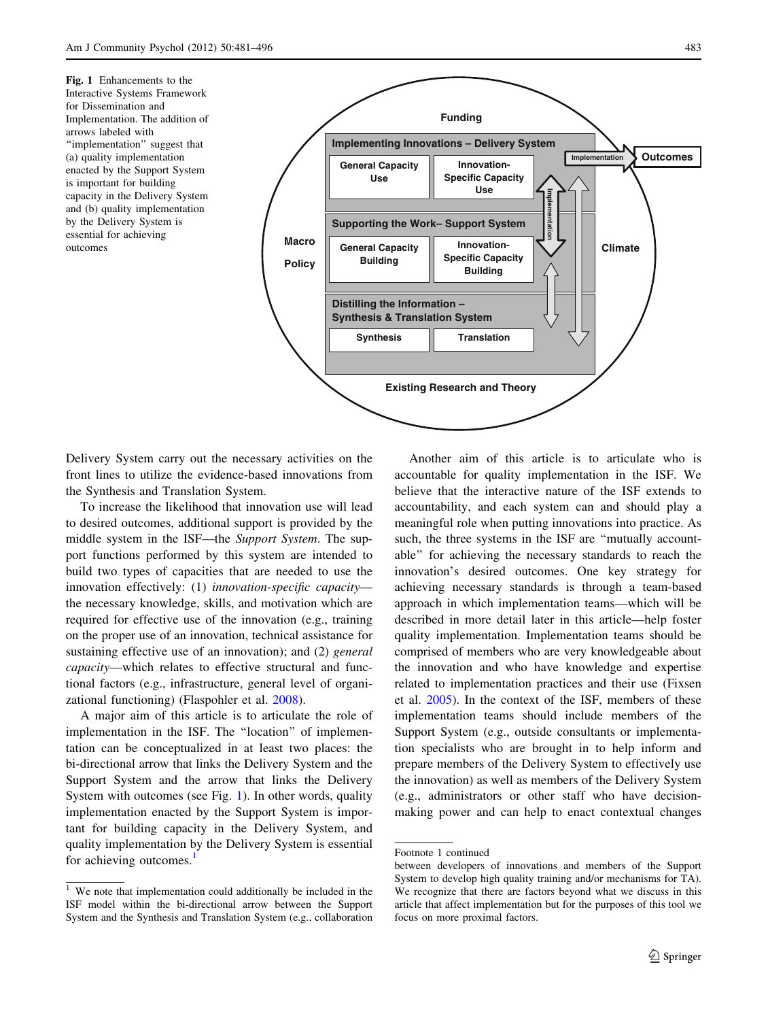<span id="page-2-0"></span>

Delivery System carry out the necessary activities on the front lines to utilize the evidence-based innovations from the Synthesis and Translation System.

To increase the likelihood that innovation use will lead to desired outcomes, additional support is provided by the middle system in the ISF—the Support System. The support functions performed by this system are intended to build two types of capacities that are needed to use the innovation effectively: (1) innovation-specific capacity the necessary knowledge, skills, and motivation which are required for effective use of the innovation (e.g., training on the proper use of an innovation, technical assistance for sustaining effective use of an innovation); and (2) general capacity—which relates to effective structural and functional factors (e.g., infrastructure, general level of organizational functioning) (Flaspohler et al. [2008](#page-14-0)).

A major aim of this article is to articulate the role of implementation in the ISF. The ''location'' of implementation can be conceptualized in at least two places: the bi-directional arrow that links the Delivery System and the Support System and the arrow that links the Delivery System with outcomes (see Fig. 1). In other words, quality implementation enacted by the Support System is important for building capacity in the Delivery System, and quality implementation by the Delivery System is essential for achieving outcomes.<sup>1</sup>

Another aim of this article is to articulate who is accountable for quality implementation in the ISF. We believe that the interactive nature of the ISF extends to accountability, and each system can and should play a meaningful role when putting innovations into practice. As such, the three systems in the ISF are ''mutually accountable'' for achieving the necessary standards to reach the innovation's desired outcomes. One key strategy for achieving necessary standards is through a team-based approach in which implementation teams—which will be described in more detail later in this article—help foster quality implementation. Implementation teams should be comprised of members who are very knowledgeable about the innovation and who have knowledge and expertise related to implementation practices and their use (Fixsen et al. [2005\)](#page-14-0). In the context of the ISF, members of these implementation teams should include members of the Support System (e.g., outside consultants or implementation specialists who are brought in to help inform and prepare members of the Delivery System to effectively use the innovation) as well as members of the Delivery System (e.g., administrators or other staff who have decisionmaking power and can help to enact contextual changes

We note that implementation could additionally be included in the ISF model within the bi-directional arrow between the Support System and the Synthesis and Translation System (e.g., collaboration

Footnote 1 continued

between developers of innovations and members of the Support System to develop high quality training and/or mechanisms for TA). We recognize that there are factors beyond what we discuss in this article that affect implementation but for the purposes of this tool we focus on more proximal factors.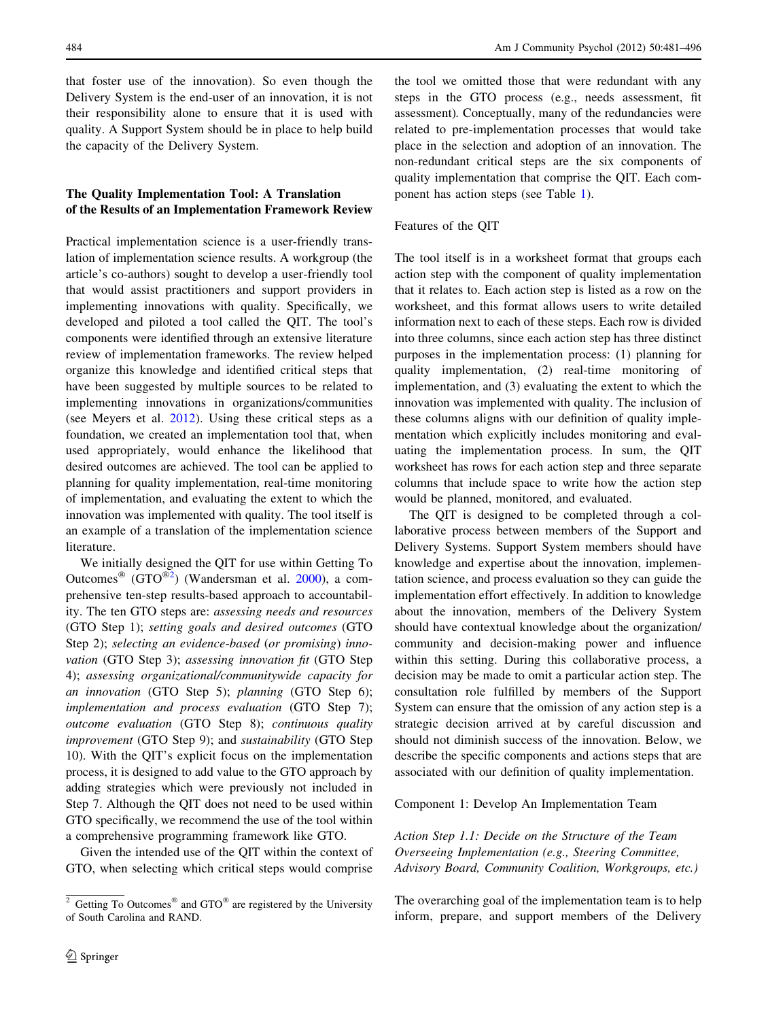that foster use of the innovation). So even though the Delivery System is the end-user of an innovation, it is not their responsibility alone to ensure that it is used with quality. A Support System should be in place to help build the capacity of the Delivery System.

## The Quality Implementation Tool: A Translation of the Results of an Implementation Framework Review

Practical implementation science is a user-friendly translation of implementation science results. A workgroup (the article's co-authors) sought to develop a user-friendly tool that would assist practitioners and support providers in implementing innovations with quality. Specifically, we developed and piloted a tool called the QIT. The tool's components were identified through an extensive literature review of implementation frameworks. The review helped organize this knowledge and identified critical steps that have been suggested by multiple sources to be related to implementing innovations in organizations/communities (see Meyers et al. [2012\)](#page-14-0). Using these critical steps as a foundation, we created an implementation tool that, when used appropriately, would enhance the likelihood that desired outcomes are achieved. The tool can be applied to planning for quality implementation, real-time monitoring of implementation, and evaluating the extent to which the innovation was implemented with quality. The tool itself is an example of a translation of the implementation science literature.

We initially designed the QIT for use within Getting To Outcomes<sup>®</sup> (GTO<sup>®2</sup>) (Wandersman et al. [2000](#page-15-0)), a comprehensive ten-step results-based approach to accountability. The ten GTO steps are: assessing needs and resources (GTO Step 1); setting goals and desired outcomes (GTO Step 2); selecting an evidence-based (or promising) innovation (GTO Step 3); assessing innovation fit (GTO Step 4); assessing organizational/communitywide capacity for an innovation (GTO Step 5); planning (GTO Step 6); implementation and process evaluation (GTO Step 7); outcome evaluation (GTO Step 8); continuous quality improvement (GTO Step 9); and sustainability (GTO Step 10). With the QIT's explicit focus on the implementation process, it is designed to add value to the GTO approach by adding strategies which were previously not included in Step 7. Although the QIT does not need to be used within GTO specifically, we recommend the use of the tool within a comprehensive programming framework like GTO.

Given the intended use of the QIT within the context of GTO, when selecting which critical steps would comprise

the tool we omitted those that were redundant with any steps in the GTO process (e.g., needs assessment, fit assessment). Conceptually, many of the redundancies were related to pre-implementation processes that would take place in the selection and adoption of an innovation. The non-redundant critical steps are the six components of quality implementation that comprise the QIT. Each component has action steps (see Table [1](#page-4-0)).

#### Features of the QIT

The tool itself is in a worksheet format that groups each action step with the component of quality implementation that it relates to. Each action step is listed as a row on the worksheet, and this format allows users to write detailed information next to each of these steps. Each row is divided into three columns, since each action step has three distinct purposes in the implementation process: (1) planning for quality implementation, (2) real-time monitoring of implementation, and (3) evaluating the extent to which the innovation was implemented with quality. The inclusion of these columns aligns with our definition of quality implementation which explicitly includes monitoring and evaluating the implementation process. In sum, the QIT worksheet has rows for each action step and three separate columns that include space to write how the action step would be planned, monitored, and evaluated.

The QIT is designed to be completed through a collaborative process between members of the Support and Delivery Systems. Support System members should have knowledge and expertise about the innovation, implementation science, and process evaluation so they can guide the implementation effort effectively. In addition to knowledge about the innovation, members of the Delivery System should have contextual knowledge about the organization/ community and decision-making power and influence within this setting. During this collaborative process, a decision may be made to omit a particular action step. The consultation role fulfilled by members of the Support System can ensure that the omission of any action step is a strategic decision arrived at by careful discussion and should not diminish success of the innovation. Below, we describe the specific components and actions steps that are associated with our definition of quality implementation.

Component 1: Develop An Implementation Team

Action Step 1.1: Decide on the Structure of the Team Overseeing Implementation (e.g., Steering Committee, Advisory Board, Community Coalition, Workgroups, etc.)

The overarching goal of the implementation team is to help inform, prepare, and support members of the Delivery

<sup>&</sup>lt;sup>2</sup> Getting To Outcomes<sup>®</sup> and GTO<sup>®</sup> are registered by the University of South Carolina and RAND.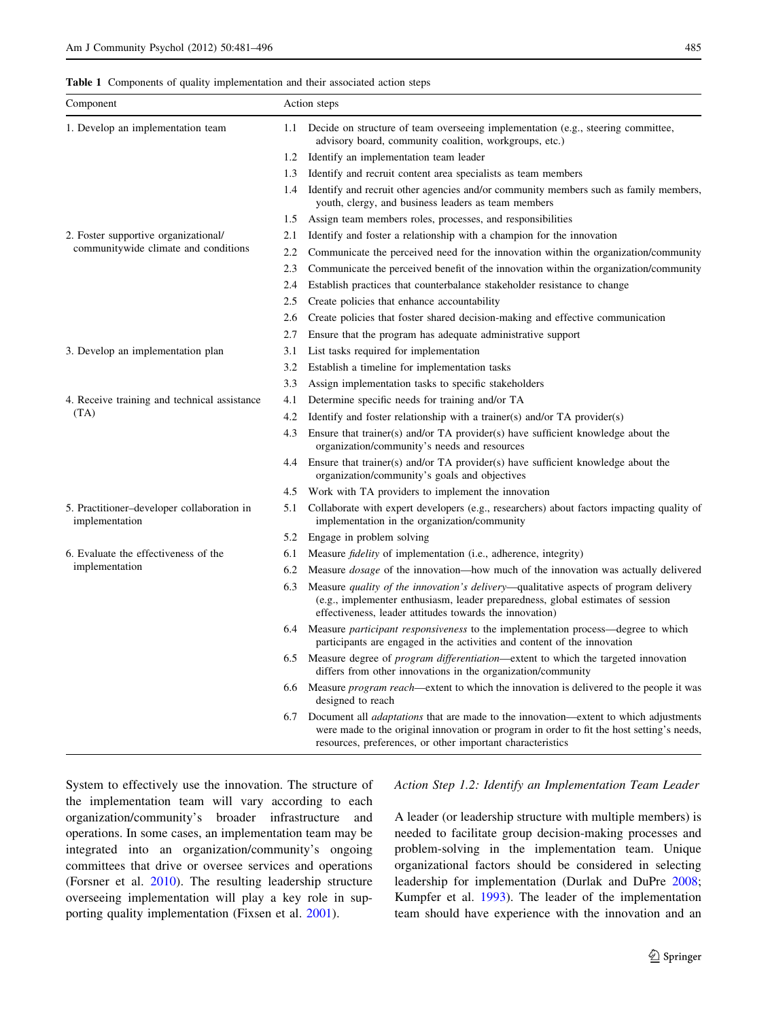<span id="page-4-0"></span>Table 1 Components of quality implementation and their associated action steps

| Component                                                                    |     | Action steps                                                                                                                                                                                                                                           |  |
|------------------------------------------------------------------------------|-----|--------------------------------------------------------------------------------------------------------------------------------------------------------------------------------------------------------------------------------------------------------|--|
| 1. Develop an implementation team                                            |     | 1.1 Decide on structure of team overseeing implementation (e.g., steering committee,<br>advisory board, community coalition, workgroups, etc.)                                                                                                         |  |
|                                                                              | 1.2 | Identify an implementation team leader                                                                                                                                                                                                                 |  |
|                                                                              | 1.3 | Identify and recruit content area specialists as team members                                                                                                                                                                                          |  |
|                                                                              | 1.4 | Identify and recruit other agencies and/or community members such as family members,<br>youth, clergy, and business leaders as team members                                                                                                            |  |
|                                                                              | 1.5 | Assign team members roles, processes, and responsibilities                                                                                                                                                                                             |  |
| 2. Foster supportive organizational/<br>communitywide climate and conditions | 2.1 | Identify and foster a relationship with a champion for the innovation                                                                                                                                                                                  |  |
|                                                                              | 2.2 | Communicate the perceived need for the innovation within the organization/community                                                                                                                                                                    |  |
|                                                                              | 2.3 | Communicate the perceived benefit of the innovation within the organization/community                                                                                                                                                                  |  |
|                                                                              | 2.4 | Establish practices that counterbalance stakeholder resistance to change                                                                                                                                                                               |  |
|                                                                              | 2.5 | Create policies that enhance accountability                                                                                                                                                                                                            |  |
|                                                                              | 2.6 | Create policies that foster shared decision-making and effective communication                                                                                                                                                                         |  |
|                                                                              | 2.7 | Ensure that the program has adequate administrative support                                                                                                                                                                                            |  |
| 3. Develop an implementation plan                                            | 3.1 | List tasks required for implementation                                                                                                                                                                                                                 |  |
|                                                                              | 3.2 | Establish a timeline for implementation tasks                                                                                                                                                                                                          |  |
|                                                                              | 3.3 | Assign implementation tasks to specific stakeholders                                                                                                                                                                                                   |  |
| 4. Receive training and technical assistance<br>(TA)                         | 4.1 | Determine specific needs for training and/or TA                                                                                                                                                                                                        |  |
|                                                                              | 4.2 | Identify and foster relationship with a trainer(s) and/or TA provider(s)                                                                                                                                                                               |  |
|                                                                              | 4.3 | Ensure that trainer(s) and/or TA provider(s) have sufficient knowledge about the<br>organization/community's needs and resources                                                                                                                       |  |
|                                                                              | 4.4 | Ensure that trainer(s) and/or TA provider(s) have sufficient knowledge about the<br>organization/community's goals and objectives                                                                                                                      |  |
|                                                                              | 4.5 | Work with TA providers to implement the innovation                                                                                                                                                                                                     |  |
| 5. Practitioner-developer collaboration in<br>implementation                 | 5.1 | Collaborate with expert developers (e.g., researchers) about factors impacting quality of<br>implementation in the organization/community                                                                                                              |  |
|                                                                              | 5.2 | Engage in problem solving                                                                                                                                                                                                                              |  |
| 6. Evaluate the effectiveness of the<br>implementation                       | 6.1 | Measure <i>fidelity</i> of implementation (i.e., adherence, integrity)                                                                                                                                                                                 |  |
|                                                                              | 6.2 | Measure <i>dosage</i> of the innovation—how much of the innovation was actually delivered                                                                                                                                                              |  |
|                                                                              | 6.3 | Measure quality of the innovation's delivery—qualitative aspects of program delivery<br>(e.g., implementer enthusiasm, leader preparedness, global estimates of session<br>effectiveness, leader attitudes towards the innovation)                     |  |
|                                                                              |     | 6.4 Measure <i>participant responsiveness</i> to the implementation process—degree to which<br>participants are engaged in the activities and content of the innovation                                                                                |  |
|                                                                              | 6.5 | Measure degree of <i>program differentiation</i> —extent to which the targeted innovation<br>differs from other innovations in the organization/community                                                                                              |  |
|                                                                              | 6.6 | Measure <i>program reach</i> —extent to which the innovation is delivered to the people it was<br>designed to reach                                                                                                                                    |  |
|                                                                              | 6.7 | Document all <i>adaptations</i> that are made to the innovation—extent to which adjustments<br>were made to the original innovation or program in order to fit the host setting's needs,<br>resources, preferences, or other important characteristics |  |

System to effectively use the innovation. The structure of the implementation team will vary according to each organization/community's broader infrastructure and operations. In some cases, an implementation team may be integrated into an organization/community's ongoing committees that drive or oversee services and operations (Forsner et al. [2010\)](#page-14-0). The resulting leadership structure overseeing implementation will play a key role in supporting quality implementation (Fixsen et al. [2001\)](#page-13-0).

Action Step 1.2: Identify an Implementation Team Leader

A leader (or leadership structure with multiple members) is needed to facilitate group decision-making processes and problem-solving in the implementation team. Unique organizational factors should be considered in selecting leadership for implementation (Durlak and DuPre [2008](#page-13-0); Kumpfer et al. [1993\)](#page-14-0). The leader of the implementation team should have experience with the innovation and an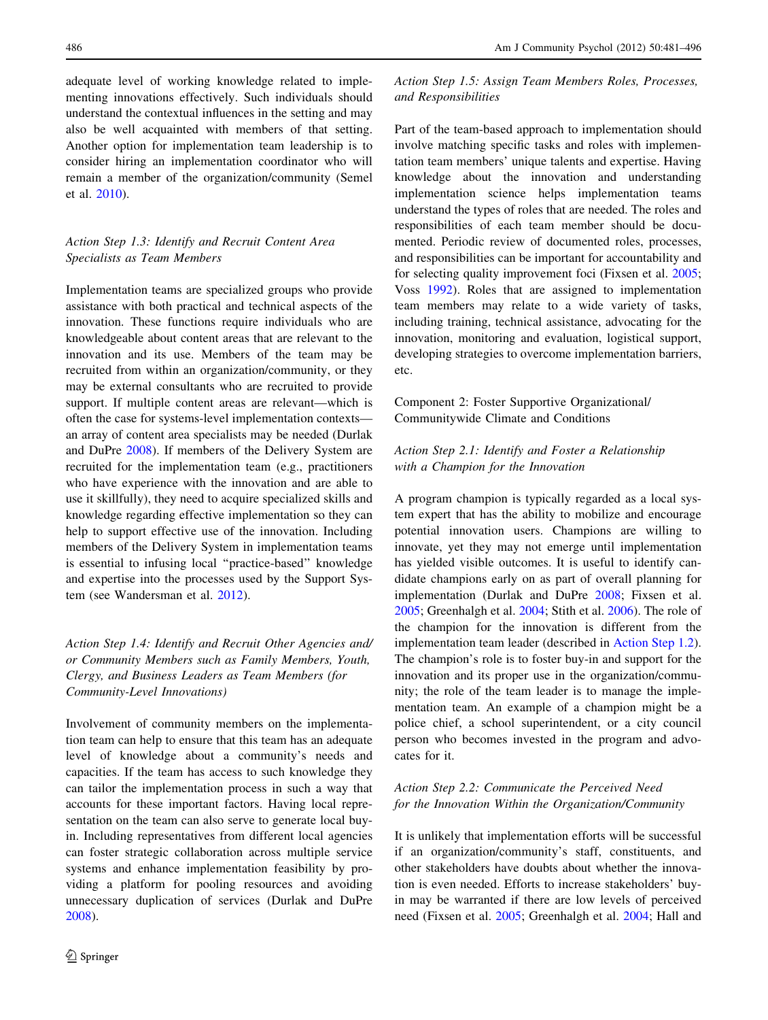adequate level of working knowledge related to implementing innovations effectively. Such individuals should understand the contextual influences in the setting and may also be well acquainted with members of that setting. Another option for implementation team leadership is to consider hiring an implementation coordinator who will remain a member of the organization/community (Semel et al. [2010\)](#page-14-0).

## Action Step 1.3: Identify and Recruit Content Area Specialists as Team Members

Implementation teams are specialized groups who provide assistance with both practical and technical aspects of the innovation. These functions require individuals who are knowledgeable about content areas that are relevant to the innovation and its use. Members of the team may be recruited from within an organization/community, or they may be external consultants who are recruited to provide support. If multiple content areas are relevant—which is often the case for systems-level implementation contexts an array of content area specialists may be needed (Durlak and DuPre [2008\)](#page-13-0). If members of the Delivery System are recruited for the implementation team (e.g., practitioners who have experience with the innovation and are able to use it skillfully), they need to acquire specialized skills and knowledge regarding effective implementation so they can help to support effective use of the innovation. Including members of the Delivery System in implementation teams is essential to infusing local ''practice-based'' knowledge and expertise into the processes used by the Support System (see Wandersman et al. [2012\)](#page-15-0).

# Action Step 1.4: Identify and Recruit Other Agencies and/ or Community Members such as Family Members, Youth, Clergy, and Business Leaders as Team Members (for Community-Level Innovations)

Involvement of community members on the implementation team can help to ensure that this team has an adequate level of knowledge about a community's needs and capacities. If the team has access to such knowledge they can tailor the implementation process in such a way that accounts for these important factors. Having local representation on the team can also serve to generate local buyin. Including representatives from different local agencies can foster strategic collaboration across multiple service systems and enhance implementation feasibility by providing a platform for pooling resources and avoiding unnecessary duplication of services (Durlak and DuPre [2008\)](#page-13-0).

Action Step 1.5: Assign Team Members Roles, Processes, and Responsibilities

Part of the team-based approach to implementation should involve matching specific tasks and roles with implementation team members' unique talents and expertise. Having knowledge about the innovation and understanding implementation science helps implementation teams understand the types of roles that are needed. The roles and responsibilities of each team member should be documented. Periodic review of documented roles, processes, and responsibilities can be important for accountability and for selecting quality improvement foci (Fixsen et al. [2005](#page-14-0); Voss [1992](#page-15-0)). Roles that are assigned to implementation team members may relate to a wide variety of tasks, including training, technical assistance, advocating for the innovation, monitoring and evaluation, logistical support, developing strategies to overcome implementation barriers, etc.

Component 2: Foster Supportive Organizational/ Communitywide Climate and Conditions

## Action Step 2.1: Identify and Foster a Relationship with a Champion for the Innovation

A program champion is typically regarded as a local system expert that has the ability to mobilize and encourage potential innovation users. Champions are willing to innovate, yet they may not emerge until implementation has yielded visible outcomes. It is useful to identify candidate champions early on as part of overall planning for implementation (Durlak and DuPre [2008;](#page-13-0) Fixsen et al. [2005](#page-14-0); Greenhalgh et al. [2004;](#page-14-0) Stith et al. [2006](#page-15-0)). The role of the champion for the innovation is different from the implementation team leader (described in [Action Step 1.2](#page-4-0)). The champion's role is to foster buy-in and support for the innovation and its proper use in the organization/community; the role of the team leader is to manage the implementation team. An example of a champion might be a police chief, a school superintendent, or a city council person who becomes invested in the program and advocates for it.

# Action Step 2.2: Communicate the Perceived Need for the Innovation Within the Organization/Community

It is unlikely that implementation efforts will be successful if an organization/community's staff, constituents, and other stakeholders have doubts about whether the innovation is even needed. Efforts to increase stakeholders' buyin may be warranted if there are low levels of perceived need (Fixsen et al. [2005;](#page-14-0) Greenhalgh et al. [2004](#page-14-0); Hall and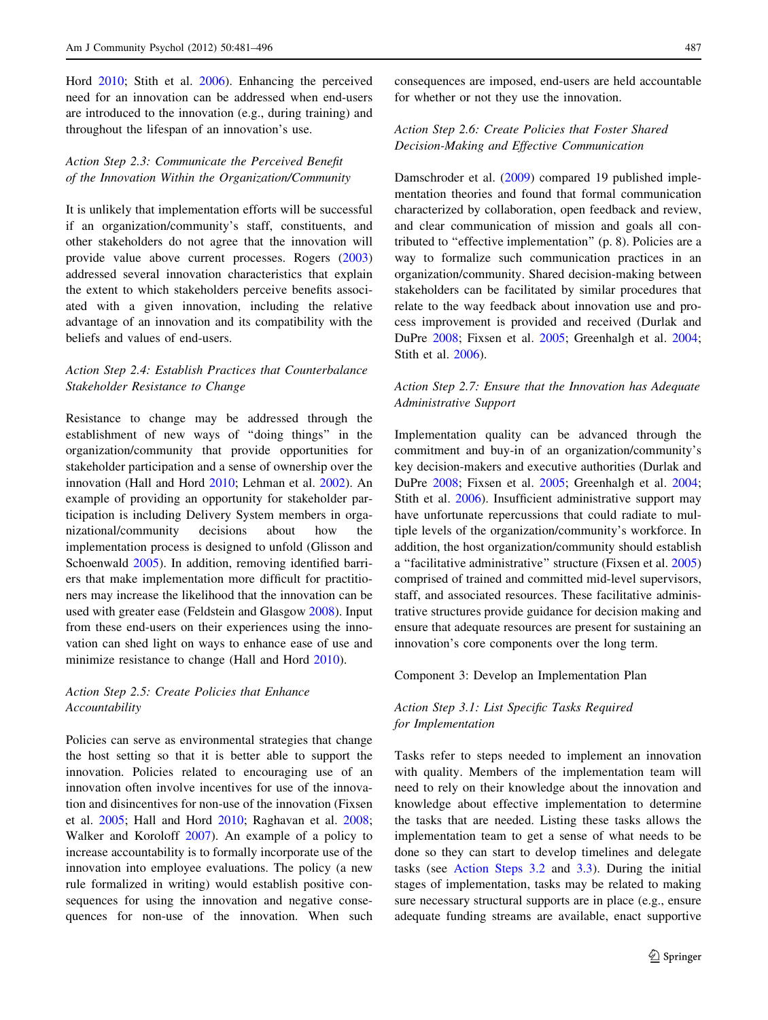<span id="page-6-0"></span>Hord [2010](#page-14-0); Stith et al. [2006\)](#page-15-0). Enhancing the perceived need for an innovation can be addressed when end-users are introduced to the innovation (e.g., during training) and throughout the lifespan of an innovation's use.

# Action Step 2.3: Communicate the Perceived Benefit of the Innovation Within the Organization/Community

It is unlikely that implementation efforts will be successful if an organization/community's staff, constituents, and other stakeholders do not agree that the innovation will provide value above current processes. Rogers ([2003\)](#page-14-0) addressed several innovation characteristics that explain the extent to which stakeholders perceive benefits associated with a given innovation, including the relative advantage of an innovation and its compatibility with the beliefs and values of end-users.

## Action Step 2.4: Establish Practices that Counterbalance Stakeholder Resistance to Change

Resistance to change may be addressed through the establishment of new ways of ''doing things'' in the organization/community that provide opportunities for stakeholder participation and a sense of ownership over the innovation (Hall and Hord [2010](#page-14-0); Lehman et al. [2002\)](#page-14-0). An example of providing an opportunity for stakeholder participation is including Delivery System members in organizational/community decisions about how the implementation process is designed to unfold (Glisson and Schoenwald [2005](#page-14-0)). In addition, removing identified barriers that make implementation more difficult for practitioners may increase the likelihood that the innovation can be used with greater ease (Feldstein and Glasgow [2008\)](#page-13-0). Input from these end-users on their experiences using the innovation can shed light on ways to enhance ease of use and minimize resistance to change (Hall and Hord [2010](#page-14-0)).

#### Action Step 2.5: Create Policies that Enhance Accountability

Policies can serve as environmental strategies that change the host setting so that it is better able to support the innovation. Policies related to encouraging use of an innovation often involve incentives for use of the innovation and disincentives for non-use of the innovation (Fixsen et al. [2005;](#page-14-0) Hall and Hord [2010](#page-14-0); Raghavan et al. [2008](#page-14-0); Walker and Koroloff [2007\)](#page-15-0). An example of a policy to increase accountability is to formally incorporate use of the innovation into employee evaluations. The policy (a new rule formalized in writing) would establish positive consequences for using the innovation and negative consequences for non-use of the innovation. When such consequences are imposed, end-users are held accountable for whether or not they use the innovation.

# Action Step 2.6: Create Policies that Foster Shared Decision-Making and Effective Communication

Damschroder et al. ([2009](#page-13-0)) compared 19 published implementation theories and found that formal communication characterized by collaboration, open feedback and review, and clear communication of mission and goals all contributed to ''effective implementation'' (p. 8). Policies are a way to formalize such communication practices in an organization/community. Shared decision-making between stakeholders can be facilitated by similar procedures that relate to the way feedback about innovation use and process improvement is provided and received (Durlak and DuPre [2008;](#page-13-0) Fixsen et al. [2005;](#page-14-0) Greenhalgh et al. [2004](#page-14-0); Stith et al. [2006](#page-15-0)).

# Action Step 2.7: Ensure that the Innovation has Adequate Administrative Support

Implementation quality can be advanced through the commitment and buy-in of an organization/community's key decision-makers and executive authorities (Durlak and DuPre [2008;](#page-13-0) Fixsen et al. [2005;](#page-14-0) Greenhalgh et al. [2004](#page-14-0); Stith et al. [2006](#page-15-0)). Insufficient administrative support may have unfortunate repercussions that could radiate to multiple levels of the organization/community's workforce. In addition, the host organization/community should establish a ''facilitative administrative'' structure (Fixsen et al. [2005\)](#page-14-0) comprised of trained and committed mid-level supervisors, staff, and associated resources. These facilitative administrative structures provide guidance for decision making and ensure that adequate resources are present for sustaining an innovation's core components over the long term.

#### Component 3: Develop an Implementation Plan

## Action Step 3.1: List Specific Tasks Required for Implementation

Tasks refer to steps needed to implement an innovation with quality. Members of the implementation team will need to rely on their knowledge about the innovation and knowledge about effective implementation to determine the tasks that are needed. Listing these tasks allows the implementation team to get a sense of what needs to be done so they can start to develop timelines and delegate tasks (see [Action Steps 3.2](#page-7-0) and [3.3\)](#page-7-0). During the initial stages of implementation, tasks may be related to making sure necessary structural supports are in place (e.g., ensure adequate funding streams are available, enact supportive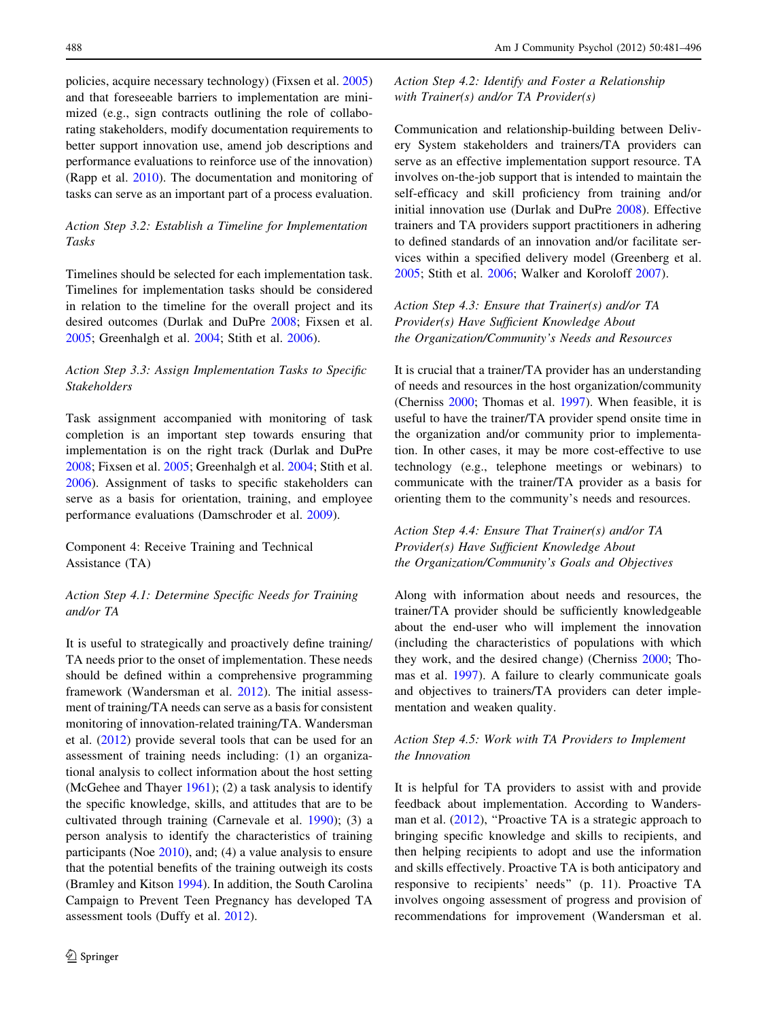<span id="page-7-0"></span>policies, acquire necessary technology) (Fixsen et al. [2005\)](#page-14-0) and that foreseeable barriers to implementation are minimized (e.g., sign contracts outlining the role of collaborating stakeholders, modify documentation requirements to better support innovation use, amend job descriptions and performance evaluations to reinforce use of the innovation) (Rapp et al. [2010](#page-14-0)). The documentation and monitoring of tasks can serve as an important part of a process evaluation.

#### Action Step 3.2: Establish a Timeline for Implementation **Tasks**

Timelines should be selected for each implementation task. Timelines for implementation tasks should be considered in relation to the timeline for the overall project and its desired outcomes (Durlak and DuPre [2008](#page-13-0); Fixsen et al. [2005;](#page-14-0) Greenhalgh et al. [2004;](#page-14-0) Stith et al. [2006\)](#page-15-0).

## Action Step 3.3: Assign Implementation Tasks to Specific **Stakeholders**

Task assignment accompanied with monitoring of task completion is an important step towards ensuring that implementation is on the right track (Durlak and DuPre [2008;](#page-13-0) Fixsen et al. [2005](#page-14-0); Greenhalgh et al. [2004](#page-14-0); Stith et al. [2006\)](#page-15-0). Assignment of tasks to specific stakeholders can serve as a basis for orientation, training, and employee performance evaluations (Damschroder et al. [2009](#page-13-0)).

Component 4: Receive Training and Technical Assistance (TA)

## Action Step 4.1: Determine Specific Needs for Training and/or TA

It is useful to strategically and proactively define training/ TA needs prior to the onset of implementation. These needs should be defined within a comprehensive programming framework (Wandersman et al. [2012](#page-15-0)). The initial assessment of training/TA needs can serve as a basis for consistent monitoring of innovation-related training/TA. Wandersman et al. [\(2012](#page-15-0)) provide several tools that can be used for an assessment of training needs including: (1) an organizational analysis to collect information about the host setting (McGehee and Thayer [1961\)](#page-14-0); (2) a task analysis to identify the specific knowledge, skills, and attitudes that are to be cultivated through training (Carnevale et al. [1990\)](#page-13-0); (3) a person analysis to identify the characteristics of training participants (Noe [2010](#page-14-0)), and; (4) a value analysis to ensure that the potential benefits of the training outweigh its costs (Bramley and Kitson [1994](#page-13-0)). In addition, the South Carolina Campaign to Prevent Teen Pregnancy has developed TA assessment tools (Duffy et al. [2012\)](#page-13-0).

Action Step 4.2: Identify and Foster a Relationship with Trainer(s) and/or TA Provider(s)

Communication and relationship-building between Delivery System stakeholders and trainers/TA providers can serve as an effective implementation support resource. TA involves on-the-job support that is intended to maintain the self-efficacy and skill proficiency from training and/or initial innovation use (Durlak and DuPre [2008](#page-13-0)). Effective trainers and TA providers support practitioners in adhering to defined standards of an innovation and/or facilitate services within a specified delivery model (Greenberg et al. [2005](#page-14-0); Stith et al. [2006](#page-15-0); Walker and Koroloff [2007](#page-15-0)).

Action Step 4.3: Ensure that Trainer(s) and/or TA Provider(s) Have Sufficient Knowledge About the Organization/Community's Needs and Resources

It is crucial that a trainer/TA provider has an understanding of needs and resources in the host organization/community (Cherniss [2000;](#page-13-0) Thomas et al. [1997](#page-15-0)). When feasible, it is useful to have the trainer/TA provider spend onsite time in the organization and/or community prior to implementation. In other cases, it may be more cost-effective to use technology (e.g., telephone meetings or webinars) to communicate with the trainer/TA provider as a basis for orienting them to the community's needs and resources.

Action Step 4.4: Ensure That Trainer(s) and/or TA Provider(s) Have Sufficient Knowledge About the Organization/Community's Goals and Objectives

Along with information about needs and resources, the trainer/TA provider should be sufficiently knowledgeable about the end-user who will implement the innovation (including the characteristics of populations with which they work, and the desired change) (Cherniss [2000](#page-13-0); Thomas et al. [1997](#page-15-0)). A failure to clearly communicate goals and objectives to trainers/TA providers can deter implementation and weaken quality.

## Action Step 4.5: Work with TA Providers to Implement the Innovation

It is helpful for TA providers to assist with and provide feedback about implementation. According to Wandersman et al.  $(2012)$  $(2012)$ , "Proactive TA is a strategic approach to bringing specific knowledge and skills to recipients, and then helping recipients to adopt and use the information and skills effectively. Proactive TA is both anticipatory and responsive to recipients' needs'' (p. 11). Proactive TA involves ongoing assessment of progress and provision of recommendations for improvement (Wandersman et al.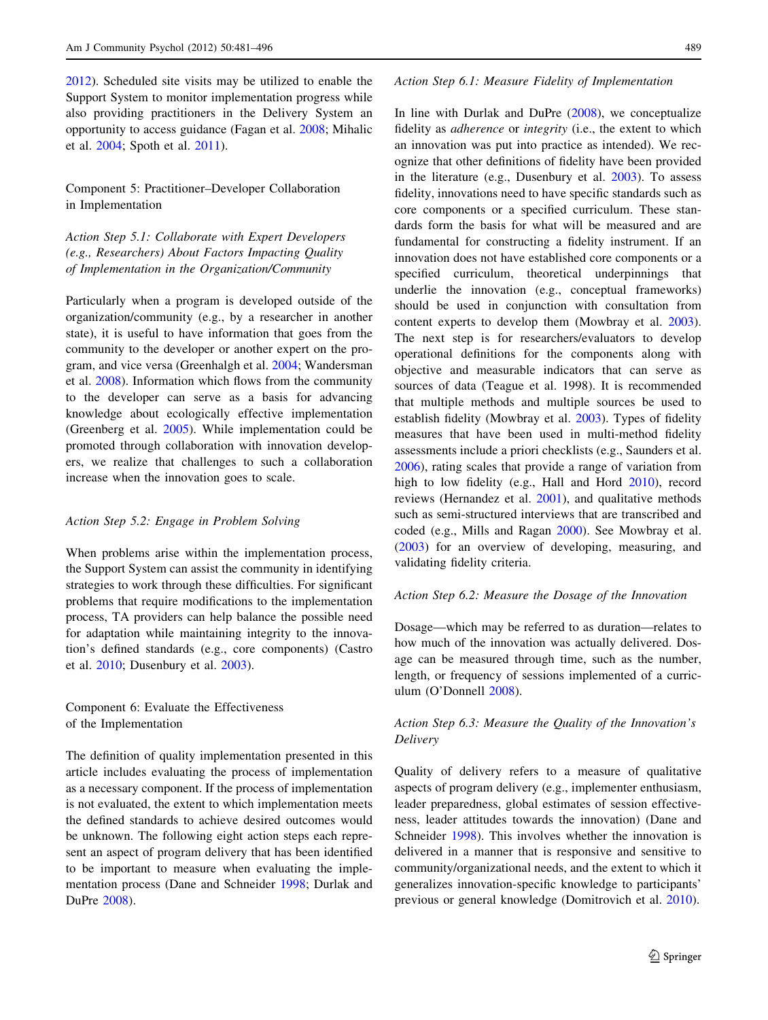[2012\)](#page-15-0). Scheduled site visits may be utilized to enable the Support System to monitor implementation progress while also providing practitioners in the Delivery System an opportunity to access guidance (Fagan et al. [2008](#page-13-0); Mihalic et al. [2004;](#page-14-0) Spoth et al. [2011](#page-14-0)).

Component 5: Practitioner–Developer Collaboration in Implementation

Action Step 5.1: Collaborate with Expert Developers (e.g., Researchers) About Factors Impacting Quality of Implementation in the Organization/Community

Particularly when a program is developed outside of the organization/community (e.g., by a researcher in another state), it is useful to have information that goes from the community to the developer or another expert on the program, and vice versa (Greenhalgh et al. [2004](#page-14-0); Wandersman et al. [2008](#page-15-0)). Information which flows from the community to the developer can serve as a basis for advancing knowledge about ecologically effective implementation (Greenberg et al. [2005\)](#page-14-0). While implementation could be promoted through collaboration with innovation developers, we realize that challenges to such a collaboration increase when the innovation goes to scale.

#### Action Step 5.2: Engage in Problem Solving

When problems arise within the implementation process, the Support System can assist the community in identifying strategies to work through these difficulties. For significant problems that require modifications to the implementation process, TA providers can help balance the possible need for adaptation while maintaining integrity to the innovation's defined standards (e.g., core components) (Castro et al. [2010;](#page-13-0) Dusenbury et al. [2003\)](#page-13-0).

## Component 6: Evaluate the Effectiveness of the Implementation

The definition of quality implementation presented in this article includes evaluating the process of implementation as a necessary component. If the process of implementation is not evaluated, the extent to which implementation meets the defined standards to achieve desired outcomes would be unknown. The following eight action steps each represent an aspect of program delivery that has been identified to be important to measure when evaluating the implementation process (Dane and Schneider [1998](#page-13-0); Durlak and DuPre [2008\)](#page-13-0).

#### Action Step 6.1: Measure Fidelity of Implementation

In line with Durlak and DuPre [\(2008](#page-13-0)), we conceptualize fidelity as adherence or integrity (i.e., the extent to which an innovation was put into practice as intended). We recognize that other definitions of fidelity have been provided in the literature (e.g., Dusenbury et al. [2003](#page-13-0)). To assess fidelity, innovations need to have specific standards such as core components or a specified curriculum. These standards form the basis for what will be measured and are fundamental for constructing a fidelity instrument. If an innovation does not have established core components or a specified curriculum, theoretical underpinnings that underlie the innovation (e.g., conceptual frameworks) should be used in conjunction with consultation from content experts to develop them (Mowbray et al. [2003](#page-14-0)). The next step is for researchers/evaluators to develop operational definitions for the components along with objective and measurable indicators that can serve as sources of data (Teague et al. 1998). It is recommended that multiple methods and multiple sources be used to establish fidelity (Mowbray et al. [2003\)](#page-14-0). Types of fidelity measures that have been used in multi-method fidelity assessments include a priori checklists (e.g., Saunders et al. [2006](#page-14-0)), rating scales that provide a range of variation from high to low fidelity (e.g., Hall and Hord [2010\)](#page-14-0), record reviews (Hernandez et al. [2001](#page-14-0)), and qualitative methods such as semi-structured interviews that are transcribed and coded (e.g., Mills and Ragan [2000\)](#page-14-0). See Mowbray et al. [\(2003](#page-14-0)) for an overview of developing, measuring, and validating fidelity criteria.

#### Action Step 6.2: Measure the Dosage of the Innovation

Dosage—which may be referred to as duration—relates to how much of the innovation was actually delivered. Dosage can be measured through time, such as the number, length, or frequency of sessions implemented of a curriculum (O'Donnell [2008](#page-14-0)).

## Action Step 6.3: Measure the Quality of the Innovation's Delivery

Quality of delivery refers to a measure of qualitative aspects of program delivery (e.g., implementer enthusiasm, leader preparedness, global estimates of session effectiveness, leader attitudes towards the innovation) (Dane and Schneider [1998\)](#page-13-0). This involves whether the innovation is delivered in a manner that is responsive and sensitive to community/organizational needs, and the extent to which it generalizes innovation-specific knowledge to participants' previous or general knowledge (Domitrovich et al. [2010](#page-13-0)).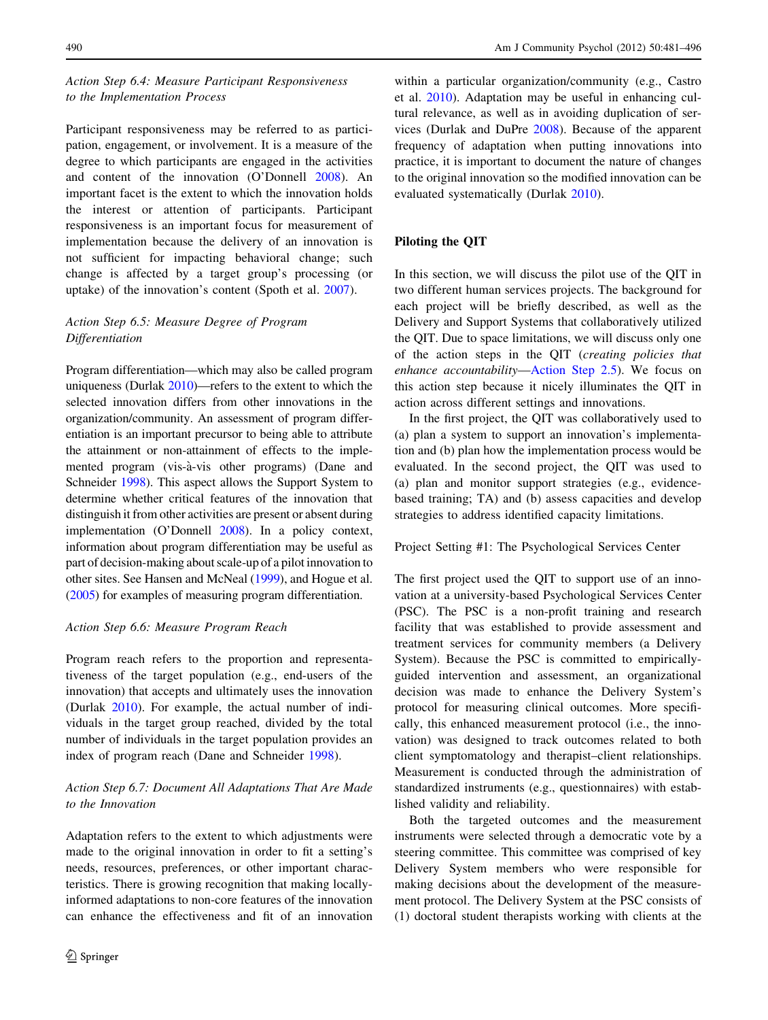# Action Step 6.4: Measure Participant Responsiveness to the Implementation Process

Participant responsiveness may be referred to as participation, engagement, or involvement. It is a measure of the degree to which participants are engaged in the activities and content of the innovation (O'Donnell [2008](#page-14-0)). An important facet is the extent to which the innovation holds the interest or attention of participants. Participant responsiveness is an important focus for measurement of implementation because the delivery of an innovation is not sufficient for impacting behavioral change; such change is affected by a target group's processing (or uptake) of the innovation's content (Spoth et al. [2007](#page-14-0)).

# Action Step 6.5: Measure Degree of Program **Differentiation**

Program differentiation—which may also be called program uniqueness (Durlak [2010\)](#page-13-0)—refers to the extent to which the selected innovation differs from other innovations in the organization/community. An assessment of program differentiation is an important precursor to being able to attribute the attainment or non-attainment of effects to the implemented program (vis-à-vis other programs) (Dane and Schneider [1998](#page-13-0)). This aspect allows the Support System to determine whether critical features of the innovation that distinguish it from other activities are present or absent during implementation (O'Donnell [2008\)](#page-14-0). In a policy context, information about program differentiation may be useful as part of decision-making about scale-up of a pilot innovation to other sites. See Hansen and McNeal ([1999](#page-14-0)), and Hogue et al. [\(2005\)](#page-14-0) for examples of measuring program differentiation.

#### Action Step 6.6: Measure Program Reach

Program reach refers to the proportion and representativeness of the target population (e.g., end-users of the innovation) that accepts and ultimately uses the innovation (Durlak [2010\)](#page-13-0). For example, the actual number of individuals in the target group reached, divided by the total number of individuals in the target population provides an index of program reach (Dane and Schneider [1998](#page-13-0)).

## Action Step 6.7: Document All Adaptations That Are Made to the Innovation

Adaptation refers to the extent to which adjustments were made to the original innovation in order to fit a setting's needs, resources, preferences, or other important characteristics. There is growing recognition that making locallyinformed adaptations to non-core features of the innovation can enhance the effectiveness and fit of an innovation

within a particular organization/community (e.g., Castro et al. [2010\)](#page-13-0). Adaptation may be useful in enhancing cultural relevance, as well as in avoiding duplication of services (Durlak and DuPre [2008\)](#page-13-0). Because of the apparent frequency of adaptation when putting innovations into practice, it is important to document the nature of changes to the original innovation so the modified innovation can be evaluated systematically (Durlak [2010](#page-13-0)).

## Piloting the QIT

In this section, we will discuss the pilot use of the QIT in two different human services projects. The background for each project will be briefly described, as well as the Delivery and Support Systems that collaboratively utilized the QIT. Due to space limitations, we will discuss only one of the action steps in the QIT (creating policies that enhance accountability—[Action Step 2.5\)](#page-6-0). We focus on this action step because it nicely illuminates the QIT in action across different settings and innovations.

In the first project, the QIT was collaboratively used to (a) plan a system to support an innovation's implementation and (b) plan how the implementation process would be evaluated. In the second project, the QIT was used to (a) plan and monitor support strategies (e.g., evidencebased training; TA) and (b) assess capacities and develop strategies to address identified capacity limitations.

Project Setting #1: The Psychological Services Center

The first project used the QIT to support use of an innovation at a university-based Psychological Services Center (PSC). The PSC is a non-profit training and research facility that was established to provide assessment and treatment services for community members (a Delivery System). Because the PSC is committed to empiricallyguided intervention and assessment, an organizational decision was made to enhance the Delivery System's protocol for measuring clinical outcomes. More specifically, this enhanced measurement protocol (i.e., the innovation) was designed to track outcomes related to both client symptomatology and therapist–client relationships. Measurement is conducted through the administration of standardized instruments (e.g., questionnaires) with established validity and reliability.

Both the targeted outcomes and the measurement instruments were selected through a democratic vote by a steering committee. This committee was comprised of key Delivery System members who were responsible for making decisions about the development of the measurement protocol. The Delivery System at the PSC consists of (1) doctoral student therapists working with clients at the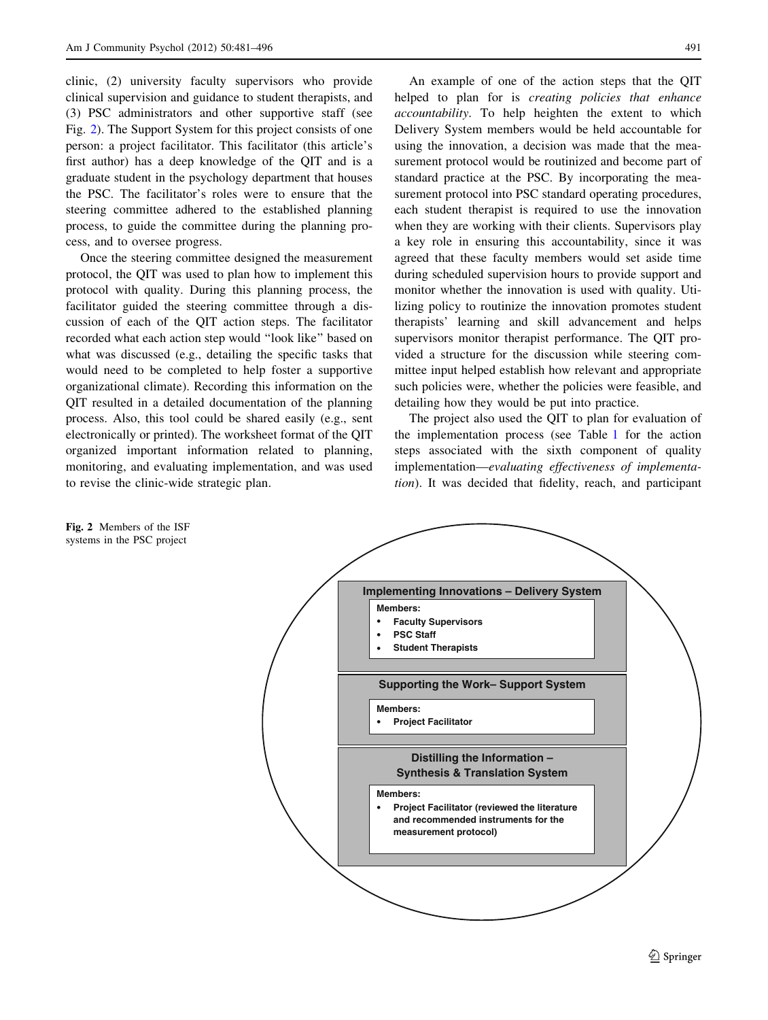clinic, (2) university faculty supervisors who provide clinical supervision and guidance to student therapists, and (3) PSC administrators and other supportive staff (see Fig. 2). The Support System for this project consists of one person: a project facilitator. This facilitator (this article's first author) has a deep knowledge of the QIT and is a graduate student in the psychology department that houses the PSC. The facilitator's roles were to ensure that the steering committee adhered to the established planning process, to guide the committee during the planning process, and to oversee progress.

Once the steering committee designed the measurement protocol, the QIT was used to plan how to implement this protocol with quality. During this planning process, the facilitator guided the steering committee through a discussion of each of the QIT action steps. The facilitator recorded what each action step would ''look like'' based on what was discussed (e.g., detailing the specific tasks that would need to be completed to help foster a supportive organizational climate). Recording this information on the QIT resulted in a detailed documentation of the planning process. Also, this tool could be shared easily (e.g., sent electronically or printed). The worksheet format of the QIT organized important information related to planning, monitoring, and evaluating implementation, and was used to revise the clinic-wide strategic plan.

An example of one of the action steps that the QIT helped to plan for is creating policies that enhance accountability. To help heighten the extent to which Delivery System members would be held accountable for using the innovation, a decision was made that the measurement protocol would be routinized and become part of standard practice at the PSC. By incorporating the measurement protocol into PSC standard operating procedures, each student therapist is required to use the innovation when they are working with their clients. Supervisors play a key role in ensuring this accountability, since it was agreed that these faculty members would set aside time during scheduled supervision hours to provide support and monitor whether the innovation is used with quality. Utilizing policy to routinize the innovation promotes student therapists' learning and skill advancement and helps supervisors monitor therapist performance. The QIT provided a structure for the discussion while steering committee input helped establish how relevant and appropriate such policies were, whether the policies were feasible, and detailing how they would be put into practice.

The project also used the QIT to plan for evaluation of the implementation process (see Table [1](#page-4-0) for the action steps associated with the sixth component of quality implementation—evaluating effectiveness of implementation). It was decided that fidelity, reach, and participant



Fig. 2 Members of the ISF systems in the PSC project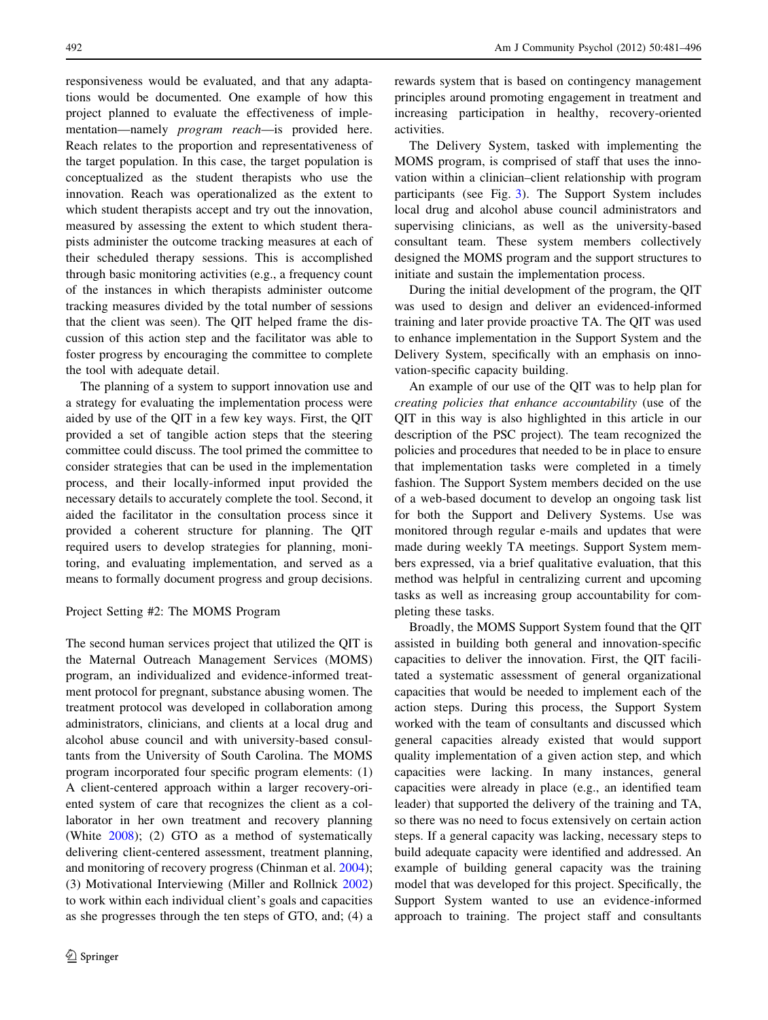responsiveness would be evaluated, and that any adaptations would be documented. One example of how this project planned to evaluate the effectiveness of implementation—namely program reach—is provided here. Reach relates to the proportion and representativeness of the target population. In this case, the target population is conceptualized as the student therapists who use the innovation. Reach was operationalized as the extent to which student therapists accept and try out the innovation, measured by assessing the extent to which student therapists administer the outcome tracking measures at each of their scheduled therapy sessions. This is accomplished through basic monitoring activities (e.g., a frequency count of the instances in which therapists administer outcome tracking measures divided by the total number of sessions that the client was seen). The QIT helped frame the discussion of this action step and the facilitator was able to foster progress by encouraging the committee to complete the tool with adequate detail.

The planning of a system to support innovation use and a strategy for evaluating the implementation process were aided by use of the QIT in a few key ways. First, the QIT provided a set of tangible action steps that the steering committee could discuss. The tool primed the committee to consider strategies that can be used in the implementation process, and their locally-informed input provided the necessary details to accurately complete the tool. Second, it aided the facilitator in the consultation process since it provided a coherent structure for planning. The QIT required users to develop strategies for planning, monitoring, and evaluating implementation, and served as a means to formally document progress and group decisions.

#### Project Setting #2: The MOMS Program

The second human services project that utilized the QIT is the Maternal Outreach Management Services (MOMS) program, an individualized and evidence-informed treatment protocol for pregnant, substance abusing women. The treatment protocol was developed in collaboration among administrators, clinicians, and clients at a local drug and alcohol abuse council and with university-based consultants from the University of South Carolina. The MOMS program incorporated four specific program elements: (1) A client-centered approach within a larger recovery-oriented system of care that recognizes the client as a collaborator in her own treatment and recovery planning (White [2008](#page-15-0)); (2) GTO as a method of systematically delivering client-centered assessment, treatment planning, and monitoring of recovery progress (Chinman et al. [2004](#page-13-0)); (3) Motivational Interviewing (Miller and Rollnick [2002\)](#page-14-0) to work within each individual client's goals and capacities as she progresses through the ten steps of GTO, and; (4) a rewards system that is based on contingency management principles around promoting engagement in treatment and increasing participation in healthy, recovery-oriented activities.

The Delivery System, tasked with implementing the MOMS program, is comprised of staff that uses the innovation within a clinician–client relationship with program participants (see Fig. [3\)](#page-12-0). The Support System includes local drug and alcohol abuse council administrators and supervising clinicians, as well as the university-based consultant team. These system members collectively designed the MOMS program and the support structures to initiate and sustain the implementation process.

During the initial development of the program, the QIT was used to design and deliver an evidenced-informed training and later provide proactive TA. The QIT was used to enhance implementation in the Support System and the Delivery System, specifically with an emphasis on innovation-specific capacity building.

An example of our use of the QIT was to help plan for creating policies that enhance accountability (use of the QIT in this way is also highlighted in this article in our description of the PSC project). The team recognized the policies and procedures that needed to be in place to ensure that implementation tasks were completed in a timely fashion. The Support System members decided on the use of a web-based document to develop an ongoing task list for both the Support and Delivery Systems. Use was monitored through regular e-mails and updates that were made during weekly TA meetings. Support System members expressed, via a brief qualitative evaluation, that this method was helpful in centralizing current and upcoming tasks as well as increasing group accountability for completing these tasks.

Broadly, the MOMS Support System found that the QIT assisted in building both general and innovation-specific capacities to deliver the innovation. First, the QIT facilitated a systematic assessment of general organizational capacities that would be needed to implement each of the action steps. During this process, the Support System worked with the team of consultants and discussed which general capacities already existed that would support quality implementation of a given action step, and which capacities were lacking. In many instances, general capacities were already in place (e.g., an identified team leader) that supported the delivery of the training and TA, so there was no need to focus extensively on certain action steps. If a general capacity was lacking, necessary steps to build adequate capacity were identified and addressed. An example of building general capacity was the training model that was developed for this project. Specifically, the Support System wanted to use an evidence-informed approach to training. The project staff and consultants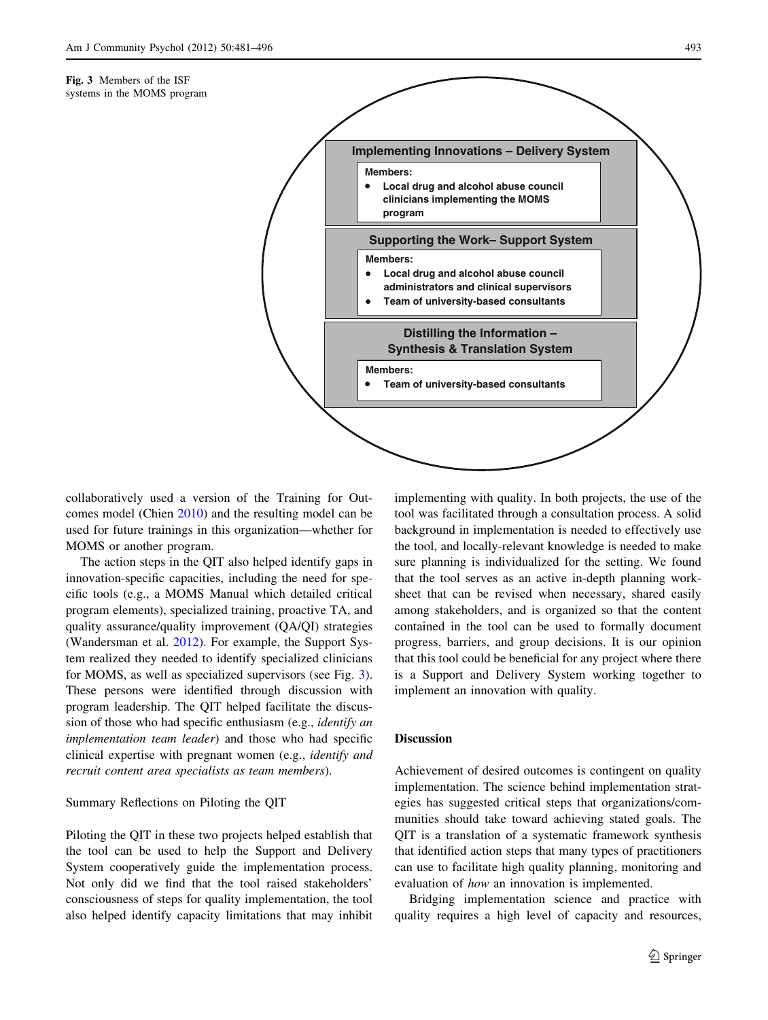<span id="page-12-0"></span>



collaboratively used a version of the Training for Outcomes model (Chien [2010\)](#page-13-0) and the resulting model can be used for future trainings in this organization—whether for MOMS or another program.

The action steps in the QIT also helped identify gaps in innovation-specific capacities, including the need for specific tools (e.g., a MOMS Manual which detailed critical program elements), specialized training, proactive TA, and quality assurance/quality improvement (QA/QI) strategies (Wandersman et al. [2012](#page-15-0)). For example, the Support System realized they needed to identify specialized clinicians for MOMS, as well as specialized supervisors (see Fig. 3). These persons were identified through discussion with program leadership. The QIT helped facilitate the discussion of those who had specific enthusiasm (e.g., identify an implementation team leader) and those who had specific clinical expertise with pregnant women (e.g., identify and recruit content area specialists as team members).

#### Summary Reflections on Piloting the QIT

Piloting the QIT in these two projects helped establish that the tool can be used to help the Support and Delivery System cooperatively guide the implementation process. Not only did we find that the tool raised stakeholders' consciousness of steps for quality implementation, the tool also helped identify capacity limitations that may inhibit implementing with quality. In both projects, the use of the tool was facilitated through a consultation process. A solid background in implementation is needed to effectively use the tool, and locally-relevant knowledge is needed to make sure planning is individualized for the setting. We found that the tool serves as an active in-depth planning worksheet that can be revised when necessary, shared easily among stakeholders, and is organized so that the content contained in the tool can be used to formally document progress, barriers, and group decisions. It is our opinion that this tool could be beneficial for any project where there is a Support and Delivery System working together to implement an innovation with quality.

## Discussion

Achievement of desired outcomes is contingent on quality implementation. The science behind implementation strategies has suggested critical steps that organizations/communities should take toward achieving stated goals. The QIT is a translation of a systematic framework synthesis that identified action steps that many types of practitioners can use to facilitate high quality planning, monitoring and evaluation of how an innovation is implemented.

Bridging implementation science and practice with quality requires a high level of capacity and resources,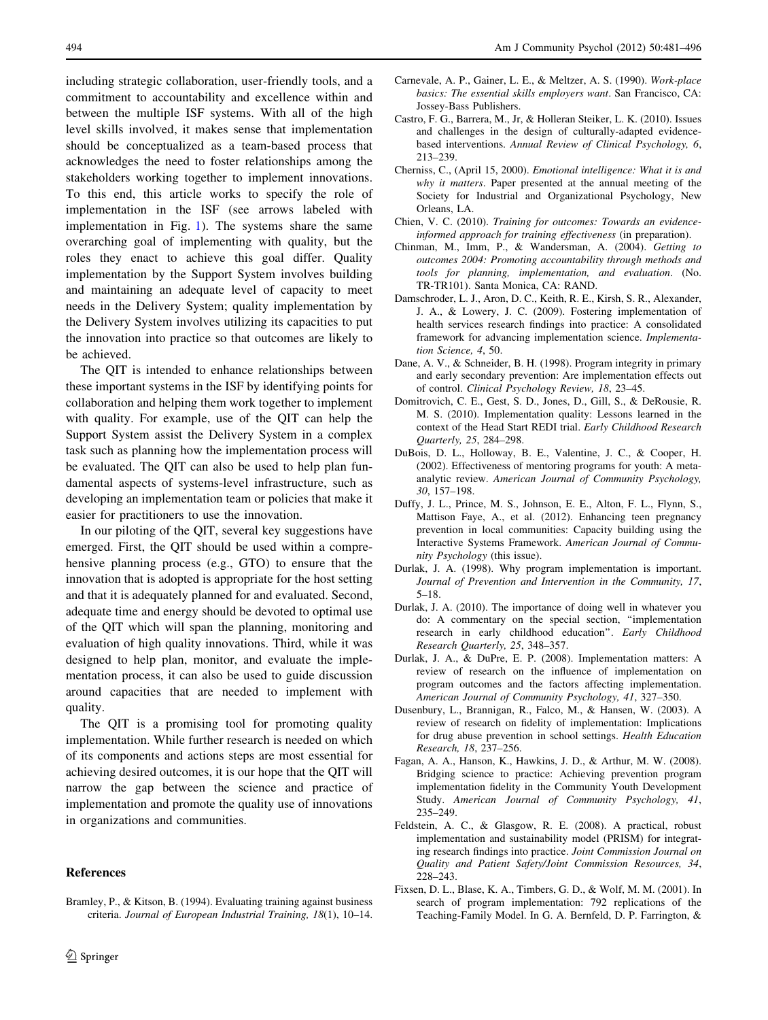<span id="page-13-0"></span>including strategic collaboration, user-friendly tools, and a commitment to accountability and excellence within and between the multiple ISF systems. With all of the high level skills involved, it makes sense that implementation should be conceptualized as a team-based process that acknowledges the need to foster relationships among the stakeholders working together to implement innovations. To this end, this article works to specify the role of implementation in the ISF (see arrows labeled with implementation in Fig. [1](#page-2-0)). The systems share the same overarching goal of implementing with quality, but the roles they enact to achieve this goal differ. Quality implementation by the Support System involves building and maintaining an adequate level of capacity to meet needs in the Delivery System; quality implementation by the Delivery System involves utilizing its capacities to put the innovation into practice so that outcomes are likely to be achieved.

The QIT is intended to enhance relationships between these important systems in the ISF by identifying points for collaboration and helping them work together to implement with quality. For example, use of the QIT can help the Support System assist the Delivery System in a complex task such as planning how the implementation process will be evaluated. The QIT can also be used to help plan fundamental aspects of systems-level infrastructure, such as developing an implementation team or policies that make it easier for practitioners to use the innovation.

In our piloting of the QIT, several key suggestions have emerged. First, the QIT should be used within a comprehensive planning process (e.g., GTO) to ensure that the innovation that is adopted is appropriate for the host setting and that it is adequately planned for and evaluated. Second, adequate time and energy should be devoted to optimal use of the QIT which will span the planning, monitoring and evaluation of high quality innovations. Third, while it was designed to help plan, monitor, and evaluate the implementation process, it can also be used to guide discussion around capacities that are needed to implement with quality.

The QIT is a promising tool for promoting quality implementation. While further research is needed on which of its components and actions steps are most essential for achieving desired outcomes, it is our hope that the QIT will narrow the gap between the science and practice of implementation and promote the quality use of innovations in organizations and communities.

Bramley, P., & Kitson, B. (1994). Evaluating training against business

#### References

criteria. Journal of European Industrial Training, 18(1), 10–14.

- Carnevale, A. P., Gainer, L. E., & Meltzer, A. S. (1990). Work-place basics: The essential skills employers want. San Francisco, CA: Jossey-Bass Publishers.
- Castro, F. G., Barrera, M., Jr, & Holleran Steiker, L. K. (2010). Issues and challenges in the design of culturally-adapted evidencebased interventions. Annual Review of Clinical Psychology, 6, 213–239.
- Cherniss, C., (April 15, 2000). Emotional intelligence: What it is and why it matters. Paper presented at the annual meeting of the Society for Industrial and Organizational Psychology, New Orleans, LA.
- Chien, V. C. (2010). Training for outcomes: Towards an evidenceinformed approach for training effectiveness (in preparation).
- Chinman, M., Imm, P., & Wandersman, A. (2004). Getting to outcomes 2004: Promoting accountability through methods and tools for planning, implementation, and evaluation. (No. TR-TR101). Santa Monica, CA: RAND.
- Damschroder, L. J., Aron, D. C., Keith, R. E., Kirsh, S. R., Alexander, J. A., & Lowery, J. C. (2009). Fostering implementation of health services research findings into practice: A consolidated framework for advancing implementation science. Implementation Science, 4, 50.
- Dane, A. V., & Schneider, B. H. (1998). Program integrity in primary and early secondary prevention: Are implementation effects out of control. Clinical Psychology Review, 18, 23–45.
- Domitrovich, C. E., Gest, S. D., Jones, D., Gill, S., & DeRousie, R. M. S. (2010). Implementation quality: Lessons learned in the context of the Head Start REDI trial. Early Childhood Research Quarterly, 25, 284–298.
- DuBois, D. L., Holloway, B. E., Valentine, J. C., & Cooper, H. (2002). Effectiveness of mentoring programs for youth: A metaanalytic review. American Journal of Community Psychology, 30, 157–198.
- Duffy, J. L., Prince, M. S., Johnson, E. E., Alton, F. L., Flynn, S., Mattison Faye, A., et al. (2012). Enhancing teen pregnancy prevention in local communities: Capacity building using the Interactive Systems Framework. American Journal of Community Psychology (this issue).
- Durlak, J. A. (1998). Why program implementation is important. Journal of Prevention and Intervention in the Community, 17, 5–18.
- Durlak, J. A. (2010). The importance of doing well in whatever you do: A commentary on the special section, ''implementation research in early childhood education''. Early Childhood Research Quarterly, 25, 348–357.
- Durlak, J. A., & DuPre, E. P. (2008). Implementation matters: A review of research on the influence of implementation on program outcomes and the factors affecting implementation. American Journal of Community Psychology, 41, 327–350.
- Dusenbury, L., Brannigan, R., Falco, M., & Hansen, W. (2003). A review of research on fidelity of implementation: Implications for drug abuse prevention in school settings. Health Education Research, 18, 237–256.
- Fagan, A. A., Hanson, K., Hawkins, J. D., & Arthur, M. W. (2008). Bridging science to practice: Achieving prevention program implementation fidelity in the Community Youth Development Study. American Journal of Community Psychology, 41, 235–249.
- Feldstein, A. C., & Glasgow, R. E. (2008). A practical, robust implementation and sustainability model (PRISM) for integrating research findings into practice. Joint Commission Journal on Quality and Patient Safety/Joint Commission Resources, 34, 228–243.
- Fixsen, D. L., Blase, K. A., Timbers, G. D., & Wolf, M. M. (2001). In search of program implementation: 792 replications of the Teaching-Family Model. In G. A. Bernfeld, D. P. Farrington, &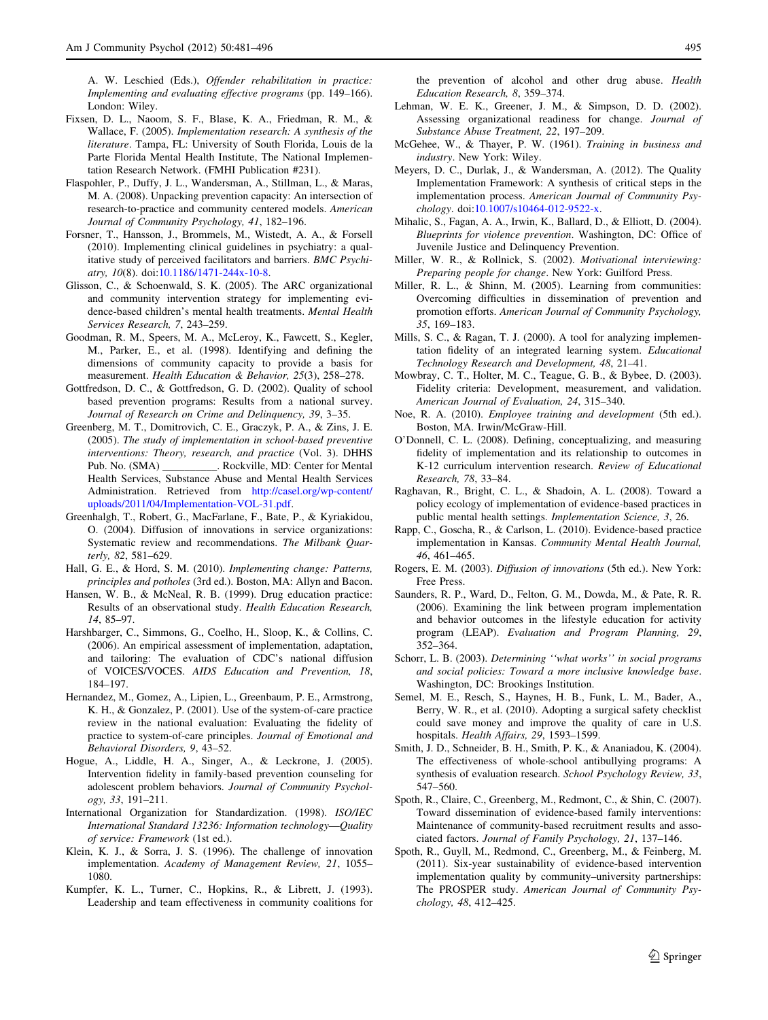<span id="page-14-0"></span>A. W. Leschied (Eds.), Offender rehabilitation in practice: Implementing and evaluating effective programs (pp. 149–166). London: Wiley.

- Fixsen, D. L., Naoom, S. F., Blase, K. A., Friedman, R. M., & Wallace, F. (2005). Implementation research: A synthesis of the literature. Tampa, FL: University of South Florida, Louis de la Parte Florida Mental Health Institute, The National Implementation Research Network. (FMHI Publication #231).
- Flaspohler, P., Duffy, J. L., Wandersman, A., Stillman, L., & Maras, M. A. (2008). Unpacking prevention capacity: An intersection of research-to-practice and community centered models. American Journal of Community Psychology, 41, 182–196.
- Forsner, T., Hansson, J., Brommels, M., Wistedt, A. A., & Forsell (2010). Implementing clinical guidelines in psychiatry: a qualitative study of perceived facilitators and barriers. BMC Psychiatry, 10(8). doi[:10.1186/1471-244x-10-8](http://dx.doi.org/10.1186/1471-244x-10-8).
- Glisson, C., & Schoenwald, S. K. (2005). The ARC organizational and community intervention strategy for implementing evidence-based children's mental health treatments. Mental Health Services Research, 7, 243–259.
- Goodman, R. M., Speers, M. A., McLeroy, K., Fawcett, S., Kegler, M., Parker, E., et al. (1998). Identifying and defining the dimensions of community capacity to provide a basis for measurement. Health Education & Behavior, 25(3), 258–278.
- Gottfredson, D. C., & Gottfredson, G. D. (2002). Quality of school based prevention programs: Results from a national survey. Journal of Research on Crime and Delinquency, 39, 3–35.
- Greenberg, M. T., Domitrovich, C. E., Graczyk, P. A., & Zins, J. E. (2005). The study of implementation in school-based preventive interventions: Theory, research, and practice (Vol. 3). DHHS Pub. No. (SMA) \_\_\_\_\_\_\_\_\_\_. Rockville, MD: Center for Mental Health Services, Substance Abuse and Mental Health Services Administration. Retrieved from [http://casel.org/wp-content/](http://casel.org/wp-content/uploads/2011/04/Implementation-VOL-31.pdf) [uploads/2011/04/Implementation-VOL-31.pdf.](http://casel.org/wp-content/uploads/2011/04/Implementation-VOL-31.pdf)
- Greenhalgh, T., Robert, G., MacFarlane, F., Bate, P., & Kyriakidou, O. (2004). Diffusion of innovations in service organizations: Systematic review and recommendations. The Milbank Quarterly, 82, 581–629.
- Hall, G. E., & Hord, S. M. (2010). Implementing change: Patterns, principles and potholes (3rd ed.). Boston, MA: Allyn and Bacon.
- Hansen, W. B., & McNeal, R. B. (1999). Drug education practice: Results of an observational study. Health Education Research, 14, 85–97.
- Harshbarger, C., Simmons, G., Coelho, H., Sloop, K., & Collins, C. (2006). An empirical assessment of implementation, adaptation, and tailoring: The evaluation of CDC's national diffusion of VOICES/VOCES. AIDS Education and Prevention, 18, 184–197.
- Hernandez, M., Gomez, A., Lipien, L., Greenbaum, P. E., Armstrong, K. H., & Gonzalez, P. (2001). Use of the system-of-care practice review in the national evaluation: Evaluating the fidelity of practice to system-of-care principles. Journal of Emotional and Behavioral Disorders, 9, 43–52.
- Hogue, A., Liddle, H. A., Singer, A., & Leckrone, J. (2005). Intervention fidelity in family-based prevention counseling for adolescent problem behaviors. Journal of Community Psychology, 33, 191–211.
- International Organization for Standardization. (1998). ISO/IEC International Standard 13236: Information technology—Quality of service: Framework (1st ed.).
- Klein, K. J., & Sorra, J. S. (1996). The challenge of innovation implementation. Academy of Management Review, 21, 1055– 1080.
- Kumpfer, K. L., Turner, C., Hopkins, R., & Librett, J. (1993). Leadership and team effectiveness in community coalitions for

the prevention of alcohol and other drug abuse. Health Education Research, 8, 359–374.

- Lehman, W. E. K., Greener, J. M., & Simpson, D. D. (2002). Assessing organizational readiness for change. Journal of Substance Abuse Treatment, 22, 197–209.
- McGehee, W., & Thayer, P. W. (1961). Training in business and industry. New York: Wiley.
- Meyers, D. C., Durlak, J., & Wandersman, A. (2012). The Quality Implementation Framework: A synthesis of critical steps in the implementation process. American Journal of Community Psychology. doi[:10.1007/s10464-012-9522-x.](http://dx.doi.org/10.1007/s10464-012-9522-x)
- Mihalic, S., Fagan, A. A., Irwin, K., Ballard, D., & Elliott, D. (2004). Blueprints for violence prevention. Washington, DC: Office of Juvenile Justice and Delinquency Prevention.
- Miller, W. R., & Rollnick, S. (2002). Motivational interviewing: Preparing people for change. New York: Guilford Press.
- Miller, R. L., & Shinn, M. (2005). Learning from communities: Overcoming difficulties in dissemination of prevention and promotion efforts. American Journal of Community Psychology, 35, 169–183.
- Mills, S. C., & Ragan, T. J. (2000). A tool for analyzing implementation fidelity of an integrated learning system. Educational Technology Research and Development, 48, 21–41.
- Mowbray, C. T., Holter, M. C., Teague, G. B., & Bybee, D. (2003). Fidelity criteria: Development, measurement, and validation. American Journal of Evaluation, 24, 315–340.
- Noe, R. A. (2010). Employee training and development (5th ed.). Boston, MA. Irwin/McGraw-Hill.
- O'Donnell, C. L. (2008). Defining, conceptualizing, and measuring fidelity of implementation and its relationship to outcomes in K-12 curriculum intervention research. Review of Educational Research, 78, 33–84.
- Raghavan, R., Bright, C. L., & Shadoin, A. L. (2008). Toward a policy ecology of implementation of evidence-based practices in public mental health settings. Implementation Science, 3, 26.
- Rapp, C., Goscha, R., & Carlson, L. (2010). Evidence-based practice implementation in Kansas. Community Mental Health Journal, 46, 461–465.
- Rogers, E. M. (2003). Diffusion of innovations (5th ed.). New York: Free Press.
- Saunders, R. P., Ward, D., Felton, G. M., Dowda, M., & Pate, R. R. (2006). Examining the link between program implementation and behavior outcomes in the lifestyle education for activity program (LEAP). Evaluation and Program Planning, 29, 352–364.
- Schorr, L. B. (2003). Determining ''what works'' in social programs and social policies: Toward a more inclusive knowledge base. Washington, DC: Brookings Institution.
- Semel, M. E., Resch, S., Haynes, H. B., Funk, L. M., Bader, A., Berry, W. R., et al. (2010). Adopting a surgical safety checklist could save money and improve the quality of care in U.S. hospitals. Health Affairs, 29, 1593–1599.
- Smith, J. D., Schneider, B. H., Smith, P. K., & Ananiadou, K. (2004). The effectiveness of whole-school antibullying programs: A synthesis of evaluation research. School Psychology Review, 33, 547–560.
- Spoth, R., Claire, C., Greenberg, M., Redmont, C., & Shin, C. (2007). Toward dissemination of evidence-based family interventions: Maintenance of community-based recruitment results and associated factors. Journal of Family Psychology, 21, 137–146.
- Spoth, R., Guyll, M., Redmond, C., Greenberg, M., & Feinberg, M. (2011). Six-year sustainability of evidence-based intervention implementation quality by community–university partnerships: The PROSPER study. American Journal of Community Psychology, 48, 412–425.